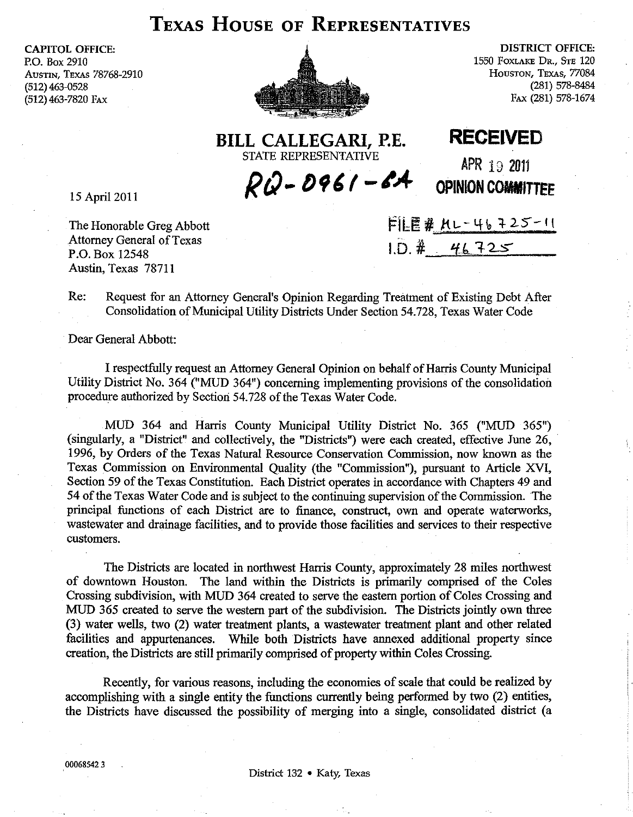## **TEXAS HOUSE OF REPRESENTATIVES**

CAPITOL OFFICE: P.O. Box 2910 AUSTIN, TEXAS 78768-2910 (512) 463-0528 (512) 463-7820 FAX



DISTRICT OFFICE: 1550 FOXLAKE DR., STE 120 HOUSTON, TEXAS, 77084 (281) 578-8484 FAX (281) 578-1674

**BILL CALLEGARI, P.E. RECEIVED**  STATE REPRESENTATIVE

 $RQ - D961 - 6A$ 

APR 19 2011 **OPINION COMMITTEE** 

15 April 2011

The Honorable Greg Abbott Attorney General of Texas P.O. Box 12548 Austin, Texas 78711

 $FIEE#$   $H1 - 46 + 25 - 11$  $1. D. 4 46725$ 

Re: Request for an Attorney General's Opinion Regarding Treatment of Existing Debt After Consolidation of Municipal Utility Districts Under Section 54.728, Texas Water Code

Dear General Abbott:

I respectfully request an Attorney General Opinion on behalf of Harris County Municipal Utility District No. 364 ("MUD 364") concerning implementing provisions of the consolidation procedure authorized by Section 54.728 of the Texas Water Code.

MUD 364 and Harris County Municipal Utility District No. 365 ("MUD 365") (singularly, a "District" and collectively, the "Districts") were each created, effective June 26, . 1996, by Orders of the Texas Natural Resource Conservation Commission, now known as the Texas Commission on Environmental Quality (the "Commission"), pursuant to Article XVI, Section 59 of the Texas Constitution. Each District operates in accordance with Chapters 49 and 54 of the Texas Water Code and is subject to the continuing supervision of the Commission. The principal functions of each District are to finance, construct, own and operate waterworks, wastewater and drainage facilities, and to provide those facilities and services to their respective customers.

The Districts are located in northwest Harris County, approximately 28 miles northwest of downtown Houston. The land within the Districts is primarily comprised of the Coles Crossing subdivision, with MUD 364 created to serve the eastern portion of Coles Crossing and MUD 365 created to serve the western part of the subdivision. The Districts jointly own three (3) water wells, two (2) water treatment plants, a wastewater treatment plant and other related facilities and appurtenances. While both Districts have annexed additional property since creation, the Districts are still primarily comprised of property within Coles Crossing.

Recently, for various reasons, including the economies of scale that could be realized by accomplishing with a single entity the functions currently being performed by two (2) entities, the Districts have discussed the possibility of merging into a single, consolidated district (a

000685423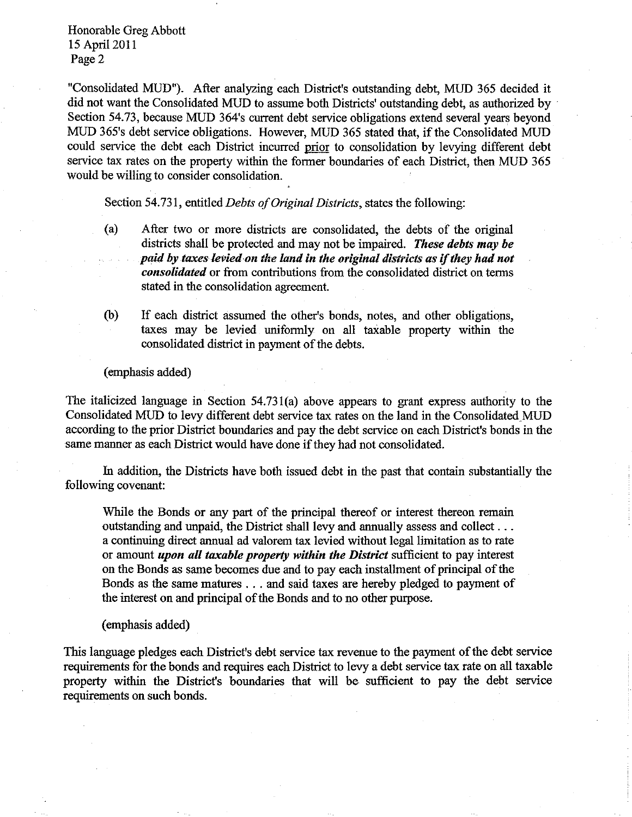Honorable Greg Abbott 15 April 2011 Page 2

"Consolidated MUD"). After analyzing each District's outstanding debt, MUD 365 decided it did not want the Consolidated MUD to assume both Districts' outstanding debt, as authorized by . Section 54.73, because MUD 364's current debt service obligations extend several years beyond MUD 365's debt service obligations. However, MUD 365 stated that, if the Consolidated MUD could service the debt each District incurred prior to consolidation by levying different debt service tax rates on the property within the former boundaries of each District, then MUD 365 would be willing to consider consolidation.

Section 54.731, entitled *Debts of Original Districts,* states the following:

- (a) After two or more districts are consolidated, the debts of the original districts shall be protected and may not be impaired. *These debts may be*  paid by taxes levied on the land in the original districts as if they had not *consolidated* or from contributions from the consolidated district on terms stated in the consolidation agreement.
- (b) If each district assumed the other's bonds, notes, and other obligations, taxes may be levied uniformly on all taxable property within the consolidated district in payment of the debts.

(emphasis added)

The italicized language in Section 54.73l(a) above appears to grant express authority to the Consolidated MUD to levy different debt service tax rates on the land in the Consolidated. MUD according to the prior District boundaries and pay the debt service on each District's bonds in the same manner as each District would have done if they had not consolidated.

In addition, the Districts have both issued debt in the past that contain substantially the following covenant:

While the Bonds or any part of the principal thereof or interest thereon remain outstanding and unpaid, the District shall levy and annually assess and collect ... a continuing direct annual ad valorem tax levied without legal limitation as to rate or amount *upon all taxable property within the District* sufficient to pay interest on the Bonds as same becomes due and to pay each installment of principal of the Bonds as the same matures ... and said taxes are hereby pledged to payment of the interest on and principal of the Bonds and to no other purpose.

(emphasis added)

This language pledges each District's debt service tax revenue to the payment of the debt service requirements for the bonds and requires each District to levy a debt service tax rate on all taxable property within the District's boundaries that will be sufficient to pay the debt service requirements on such bonds.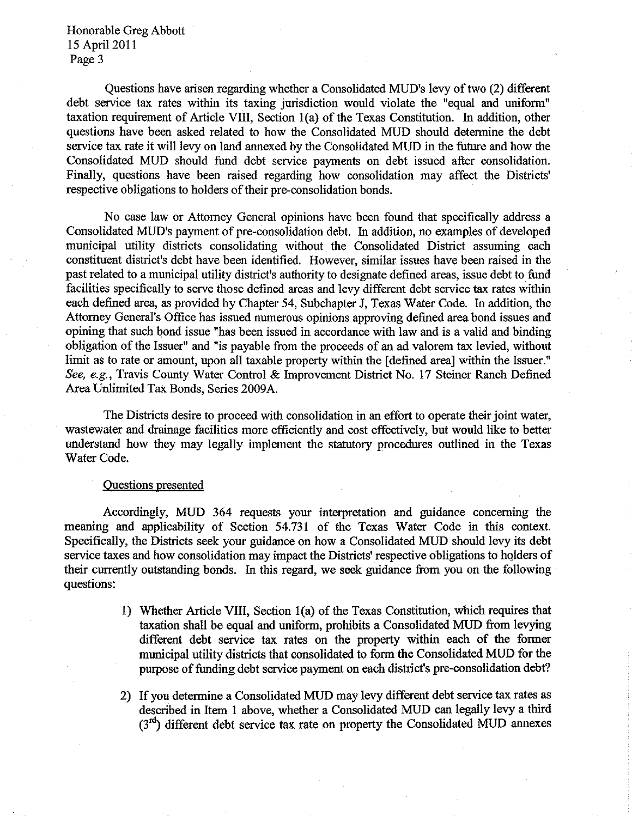Honorable Greg Abbott IS April 2011 Page 3

Questions have arisen regarding whether a Consolidated MUD's levy of two (2) different debt service tax rates within its taxing jurisdiction would violate the "equal and unifonn" taxation requirement of Article VIII, Section I(a) of the Texas Constitution. In addition, other questions have been asked related to how the Consolidated MUD should detennine the debt service tax rate it will levy on land annexed by the Consolidated MUD in the future and how the Consolidated MUD should fund debt service payments on debt issued after consolidation. Finally, questions have been raised regarding how consolidation may affect the Districts' respective obligations to holders of their pre-consolidation bonds.

No case law or Attorney General opinions have been found that specifically address a Consolidated MUD's payment of pre-consolidation debt. In addition, no examples of developed municipal utility districts consolidating without the Consolidated District assuming each constituent district's debt have been identified. However, similar issues have been raised in the past related to a municipal utility district's authority to designate defined areas, issue debt to fund facilities specifically to serve those defined areas and levy different debt service tax rates within each defmed area, as provided by Chapter 54, Subchapter J, Texas Water Code. In addition, the Attorney General's Office has issued numerous opinions approving defined area bond issues and opining that such bond issue "has been issued in accordance with law and is a valid and binding obligation of the Issuer" and "is payable from the proceeds of an ad valorem tax levied, without limit as to rate or amount, upon all taxable property within the [defined area] within the Issuer." *See. e.g.,* Travis County Water Control & Improvement District No. 17 Steiner Ranch Defined Area Unlimited Tax Bonds, Series 2009A.

The Districts desire to proceed with consolidation in an effort to operate their joint water, wastewater and drainage facilities more efficiently and cost effectively, but would like to better understand how they may legally implement the statutory procedures outlined in the Texas Water Code.

## Ouestions presented

Accordingly, MUD 364 requests your interpretation and guidance concerning the meaning and applicability of Section 54.731 of the Texas Water Code in this context. Specifically, the Districts seek your guidance on how a Consolidated MUD should levy its debt service taxes and how consolidation may impact the Districts' respective obligations to holders of their currently outstanding bonds. In this regard, we seek gnidance from you on the following questions:

- 1) Whether Article VIII, Section 1(a) of the Texas Constitution, which requires that taxation shall be equal and unifonn, prohibits a Consolidated MUD from levying different debt service tax rates on the property within each of the fonner municipal utility districts that consolidated to fonn the Consolidated MUD for the purpose of funding debt service payment on each district's pre-consolidation debt?
- 2) If you determine a Consolidated MUD may levy different debt service tax rates as described in Item I above, whether a Consolidated MUD can legally levy a third  $(3<sup>rd</sup>)$  different debt service tax rate on property the Consolidated MUD annexes